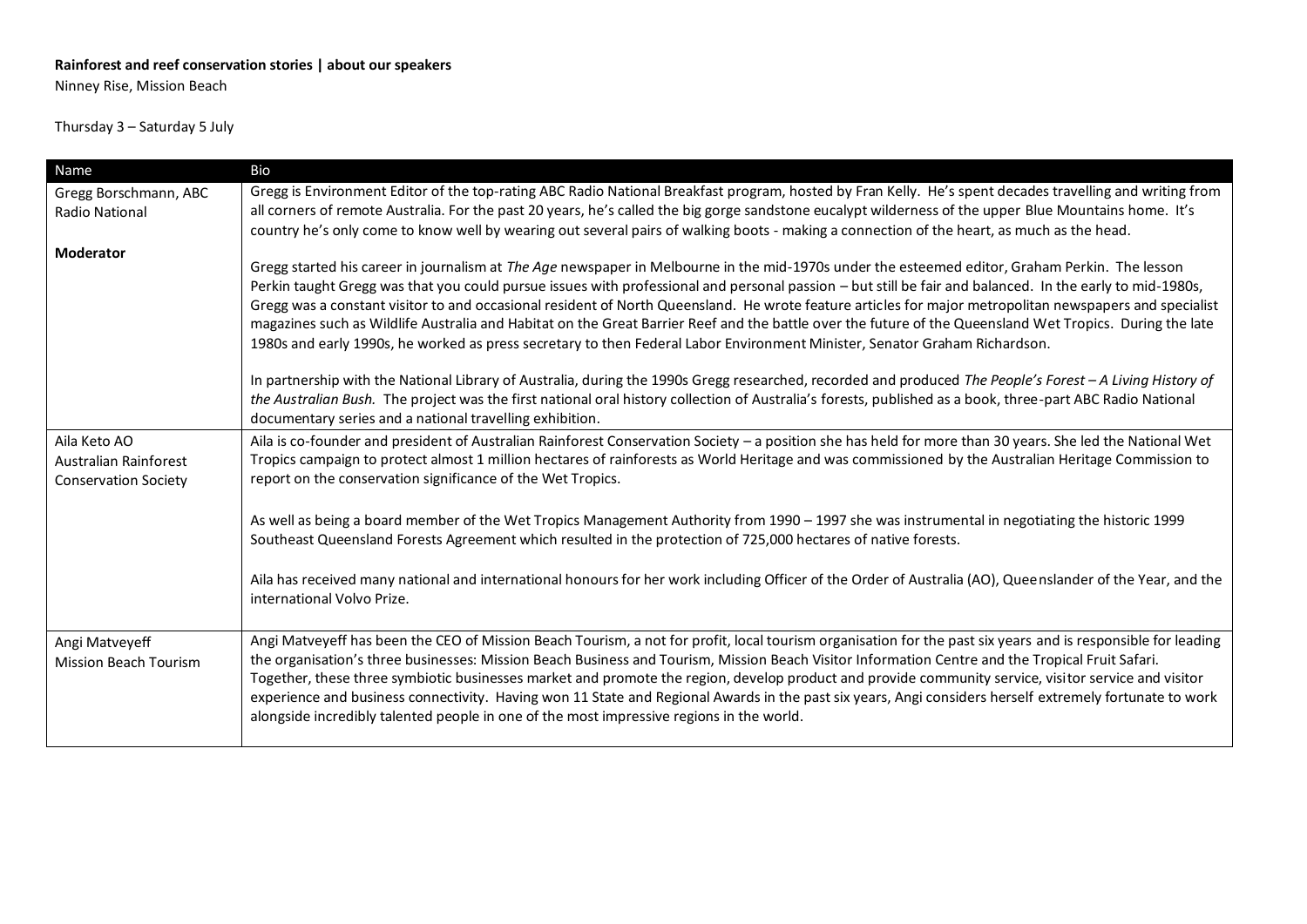## **Rainforest and reef conservation stories | about our speakers**

Ninney Rise, Mission Beach

## Thursday 3 – Saturday 5 July

| Name                                                                 | Bio                                                                                                                                                                                                                                                                                                                                                                                                                                                                                                                                                                                                                                                                                                                             |
|----------------------------------------------------------------------|---------------------------------------------------------------------------------------------------------------------------------------------------------------------------------------------------------------------------------------------------------------------------------------------------------------------------------------------------------------------------------------------------------------------------------------------------------------------------------------------------------------------------------------------------------------------------------------------------------------------------------------------------------------------------------------------------------------------------------|
| Gregg Borschmann, ABC                                                | Gregg is Environment Editor of the top-rating ABC Radio National Breakfast program, hosted by Fran Kelly. He's spent decades travelling and writing from                                                                                                                                                                                                                                                                                                                                                                                                                                                                                                                                                                        |
| Radio National                                                       | all corners of remote Australia. For the past 20 years, he's called the big gorge sandstone eucalypt wilderness of the upper Blue Mountains home. It's                                                                                                                                                                                                                                                                                                                                                                                                                                                                                                                                                                          |
|                                                                      | country he's only come to know well by wearing out several pairs of walking boots - making a connection of the heart, as much as the head.                                                                                                                                                                                                                                                                                                                                                                                                                                                                                                                                                                                      |
| <b>Moderator</b>                                                     | Gregg started his career in journalism at The Age newspaper in Melbourne in the mid-1970s under the esteemed editor, Graham Perkin. The lesson<br>Perkin taught Gregg was that you could pursue issues with professional and personal passion – but still be fair and balanced. In the early to mid-1980s,<br>Gregg was a constant visitor to and occasional resident of North Queensland. He wrote feature articles for major metropolitan newspapers and specialist<br>magazines such as Wildlife Australia and Habitat on the Great Barrier Reef and the battle over the future of the Queensland Wet Tropics. During the late                                                                                               |
|                                                                      | 1980s and early 1990s, he worked as press secretary to then Federal Labor Environment Minister, Senator Graham Richardson.                                                                                                                                                                                                                                                                                                                                                                                                                                                                                                                                                                                                      |
|                                                                      | In partnership with the National Library of Australia, during the 1990s Gregg researched, recorded and produced The People's Forest - A Living History of<br>the Australian Bush. The project was the first national oral history collection of Australia's forests, published as a book, three-part ABC Radio National<br>documentary series and a national travelling exhibition.                                                                                                                                                                                                                                                                                                                                             |
| Aila Keto AO<br>Australian Rainforest<br><b>Conservation Society</b> | Aila is co-founder and president of Australian Rainforest Conservation Society - a position she has held for more than 30 years. She led the National Wet<br>Tropics campaign to protect almost 1 million hectares of rainforests as World Heritage and was commissioned by the Australian Heritage Commission to<br>report on the conservation significance of the Wet Tropics.                                                                                                                                                                                                                                                                                                                                                |
|                                                                      | As well as being a board member of the Wet Tropics Management Authority from 1990 - 1997 she was instrumental in negotiating the historic 1999<br>Southeast Queensland Forests Agreement which resulted in the protection of 725,000 hectares of native forests.                                                                                                                                                                                                                                                                                                                                                                                                                                                                |
|                                                                      | Aila has received many national and international honours for her work including Officer of the Order of Australia (AO), Queenslander of the Year, and the<br>international Volvo Prize.                                                                                                                                                                                                                                                                                                                                                                                                                                                                                                                                        |
| Angi Matveyeff<br><b>Mission Beach Tourism</b>                       | Angi Matveyeff has been the CEO of Mission Beach Tourism, a not for profit, local tourism organisation for the past six years and is responsible for leading<br>the organisation's three businesses: Mission Beach Business and Tourism, Mission Beach Visitor Information Centre and the Tropical Fruit Safari.<br>Together, these three symbiotic businesses market and promote the region, develop product and provide community service, visitor service and visitor<br>experience and business connectivity. Having won 11 State and Regional Awards in the past six years, Angi considers herself extremely fortunate to work<br>alongside incredibly talented people in one of the most impressive regions in the world. |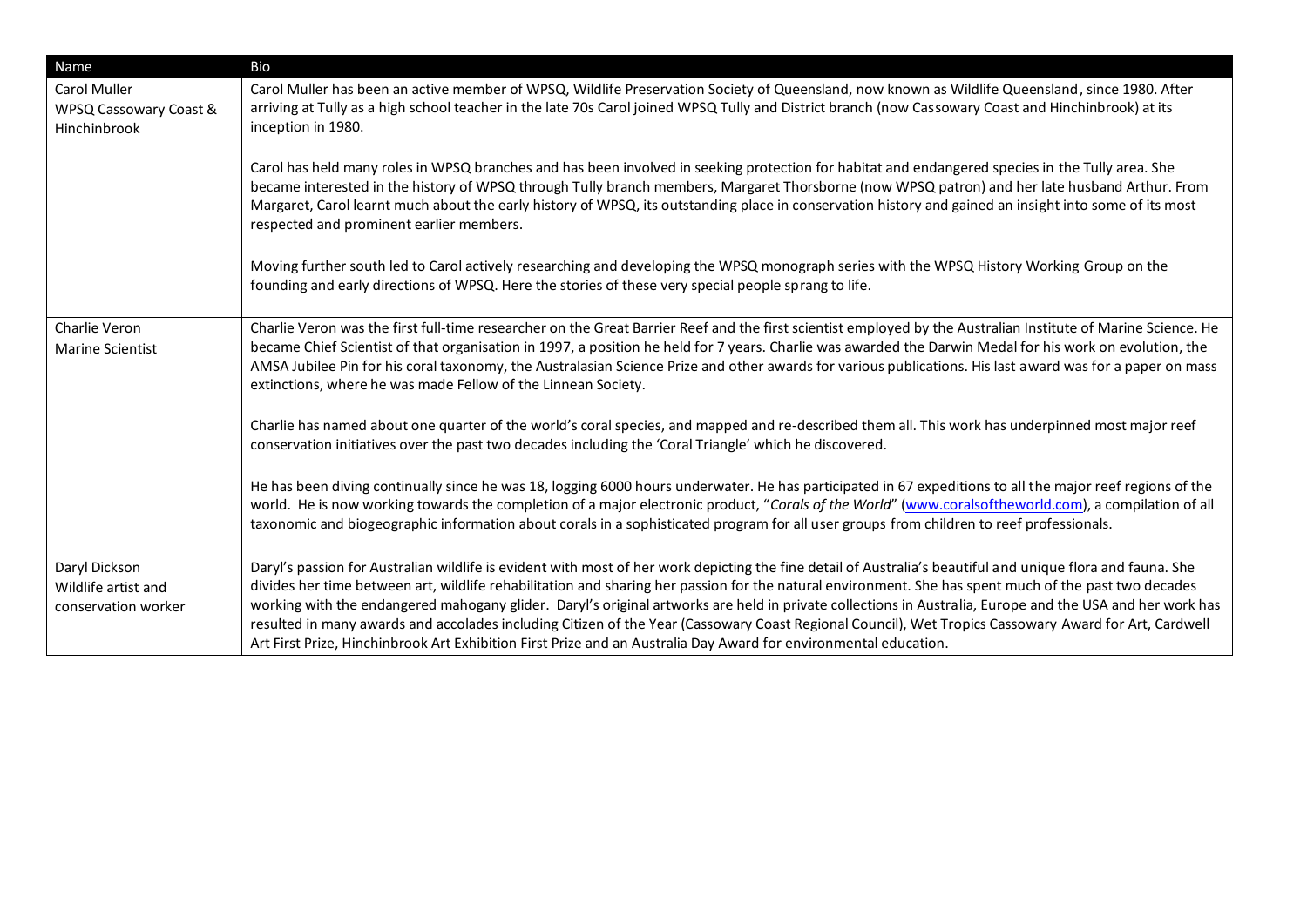| Name                                                          | Bio                                                                                                                                                                                                                                                                                                                                                                                                                                                                                                                                                                                                                                                                                                                                                           |
|---------------------------------------------------------------|---------------------------------------------------------------------------------------------------------------------------------------------------------------------------------------------------------------------------------------------------------------------------------------------------------------------------------------------------------------------------------------------------------------------------------------------------------------------------------------------------------------------------------------------------------------------------------------------------------------------------------------------------------------------------------------------------------------------------------------------------------------|
| <b>Carol Muller</b><br>WPSQ Cassowary Coast &<br>Hinchinbrook | Carol Muller has been an active member of WPSQ, Wildlife Preservation Society of Queensland, now known as Wildlife Queensland, since 1980. After<br>arriving at Tully as a high school teacher in the late 70s Carol joined WPSQ Tully and District branch (now Cassowary Coast and Hinchinbrook) at its<br>inception in 1980.                                                                                                                                                                                                                                                                                                                                                                                                                                |
|                                                               | Carol has held many roles in WPSQ branches and has been involved in seeking protection for habitat and endangered species in the Tully area. She<br>became interested in the history of WPSQ through Tully branch members, Margaret Thorsborne (now WPSQ patron) and her late husband Arthur. From<br>Margaret, Carol learnt much about the early history of WPSQ, its outstanding place in conservation history and gained an insight into some of its most<br>respected and prominent earlier members.                                                                                                                                                                                                                                                      |
|                                                               | Moving further south led to Carol actively researching and developing the WPSQ monograph series with the WPSQ History Working Group on the<br>founding and early directions of WPSQ. Here the stories of these very special people sprang to life.                                                                                                                                                                                                                                                                                                                                                                                                                                                                                                            |
| Charlie Veron<br><b>Marine Scientist</b>                      | Charlie Veron was the first full-time researcher on the Great Barrier Reef and the first scientist employed by the Australian Institute of Marine Science. He<br>became Chief Scientist of that organisation in 1997, a position he held for 7 years. Charlie was awarded the Darwin Medal for his work on evolution, the<br>AMSA Jubilee Pin for his coral taxonomy, the Australasian Science Prize and other awards for various publications. His last award was for a paper on mass<br>extinctions, where he was made Fellow of the Linnean Society.                                                                                                                                                                                                       |
|                                                               | Charlie has named about one quarter of the world's coral species, and mapped and re-described them all. This work has underpinned most major reef<br>conservation initiatives over the past two decades including the 'Coral Triangle' which he discovered.                                                                                                                                                                                                                                                                                                                                                                                                                                                                                                   |
|                                                               | He has been diving continually since he was 18, logging 6000 hours underwater. He has participated in 67 expeditions to all the major reef regions of the<br>world. He is now working towards the completion of a major electronic product, "Corals of the World" (www.coralsoftheworld.com), a compilation of all<br>taxonomic and biogeographic information about corals in a sophisticated program for all user groups from children to reef professionals.                                                                                                                                                                                                                                                                                                |
| Daryl Dickson<br>Wildlife artist and<br>conservation worker   | Daryl's passion for Australian wildlife is evident with most of her work depicting the fine detail of Australia's beautiful and unique flora and fauna. She<br>divides her time between art, wildlife rehabilitation and sharing her passion for the natural environment. She has spent much of the past two decades<br>working with the endangered mahogany glider. Daryl's original artworks are held in private collections in Australia, Europe and the USA and her work has<br>resulted in many awards and accolades including Citizen of the Year (Cassowary Coast Regional Council), Wet Tropics Cassowary Award for Art, Cardwell<br>Art First Prize, Hinchinbrook Art Exhibition First Prize and an Australia Day Award for environmental education. |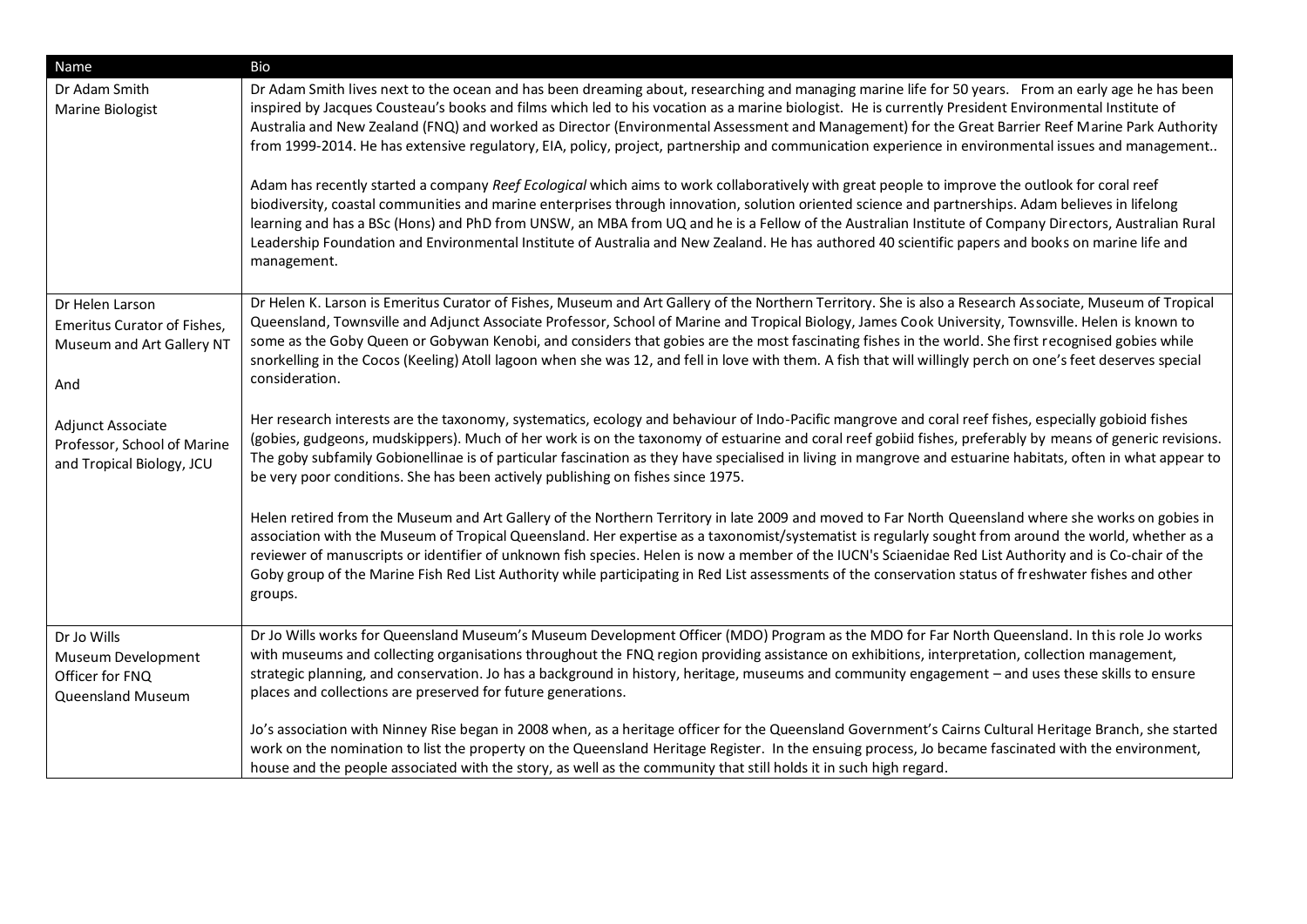| <b>Name</b>                                                                        | Bio                                                                                                                                                                                                                                                                                                                                                                                                                                                                                                                                                                                                                                                                                                                                                                                                                                                                                                                                                                                                                                                                                                                                                                                                                                                         |
|------------------------------------------------------------------------------------|-------------------------------------------------------------------------------------------------------------------------------------------------------------------------------------------------------------------------------------------------------------------------------------------------------------------------------------------------------------------------------------------------------------------------------------------------------------------------------------------------------------------------------------------------------------------------------------------------------------------------------------------------------------------------------------------------------------------------------------------------------------------------------------------------------------------------------------------------------------------------------------------------------------------------------------------------------------------------------------------------------------------------------------------------------------------------------------------------------------------------------------------------------------------------------------------------------------------------------------------------------------|
| Dr Adam Smith<br>Marine Biologist                                                  | Dr Adam Smith lives next to the ocean and has been dreaming about, researching and managing marine life for 50 years. From an early age he has been<br>inspired by Jacques Cousteau's books and films which led to his vocation as a marine biologist. He is currently President Environmental Institute of<br>Australia and New Zealand (FNQ) and worked as Director (Environmental Assessment and Management) for the Great Barrier Reef Marine Park Authority<br>from 1999-2014. He has extensive regulatory, EIA, policy, project, partnership and communication experience in environmental issues and management<br>Adam has recently started a company Reef Ecological which aims to work collaboratively with great people to improve the outlook for coral reef<br>biodiversity, coastal communities and marine enterprises through innovation, solution oriented science and partnerships. Adam believes in lifelong<br>learning and has a BSc (Hons) and PhD from UNSW, an MBA from UQ and he is a Fellow of the Australian Institute of Company Directors, Australian Rural<br>Leadership Foundation and Environmental Institute of Australia and New Zealand. He has authored 40 scientific papers and books on marine life and<br>management. |
| Dr Helen Larson<br>Emeritus Curator of Fishes,<br>Museum and Art Gallery NT<br>And | Dr Helen K. Larson is Emeritus Curator of Fishes, Museum and Art Gallery of the Northern Territory. She is also a Research Associate, Museum of Tropical<br>Queensland, Townsville and Adjunct Associate Professor, School of Marine and Tropical Biology, James Cook University, Townsville. Helen is known to<br>some as the Goby Queen or Gobywan Kenobi, and considers that gobies are the most fascinating fishes in the world. She first recognised gobies while<br>snorkelling in the Cocos (Keeling) Atoll lagoon when she was 12, and fell in love with them. A fish that will willingly perch on one's feet deserves special<br>consideration.                                                                                                                                                                                                                                                                                                                                                                                                                                                                                                                                                                                                    |
| Adjunct Associate<br>Professor, School of Marine<br>and Tropical Biology, JCU      | Her research interests are the taxonomy, systematics, ecology and behaviour of Indo-Pacific mangrove and coral reef fishes, especially gobioid fishes<br>(gobies, gudgeons, mudskippers). Much of her work is on the taxonomy of estuarine and coral reef gobiid fishes, preferably by means of generic revisions.<br>The goby subfamily Gobionellinae is of particular fascination as they have specialised in living in mangrove and estuarine habitats, often in what appear to<br>be very poor conditions. She has been actively publishing on fishes since 1975.                                                                                                                                                                                                                                                                                                                                                                                                                                                                                                                                                                                                                                                                                       |
|                                                                                    | Helen retired from the Museum and Art Gallery of the Northern Territory in late 2009 and moved to Far North Queensland where she works on gobies in<br>association with the Museum of Tropical Queensland. Her expertise as a taxonomist/systematist is regularly sought from around the world, whether as a<br>reviewer of manuscripts or identifier of unknown fish species. Helen is now a member of the IUCN's Sciaenidae Red List Authority and is Co-chair of the<br>Goby group of the Marine Fish Red List Authority while participating in Red List assessments of the conservation status of freshwater fishes and other<br>groups.                                                                                                                                                                                                                                                                                                                                                                                                                                                                                                                                                                                                                |
| Dr Jo Wills<br>Museum Development<br>Officer for FNQ<br>Queensland Museum          | Dr Jo Wills works for Queensland Museum's Museum Development Officer (MDO) Program as the MDO for Far North Queensland. In this role Jo works<br>with museums and collecting organisations throughout the FNQ region providing assistance on exhibitions, interpretation, collection management,<br>strategic planning, and conservation. Jo has a background in history, heritage, museums and community engagement - and uses these skills to ensure<br>places and collections are preserved for future generations.                                                                                                                                                                                                                                                                                                                                                                                                                                                                                                                                                                                                                                                                                                                                      |
|                                                                                    | Jo's association with Ninney Rise began in 2008 when, as a heritage officer for the Queensland Government's Cairns Cultural Heritage Branch, she started<br>work on the nomination to list the property on the Queensland Heritage Register. In the ensuing process, Jo became fascinated with the environment,<br>house and the people associated with the story, as well as the community that still holds it in such high regard.                                                                                                                                                                                                                                                                                                                                                                                                                                                                                                                                                                                                                                                                                                                                                                                                                        |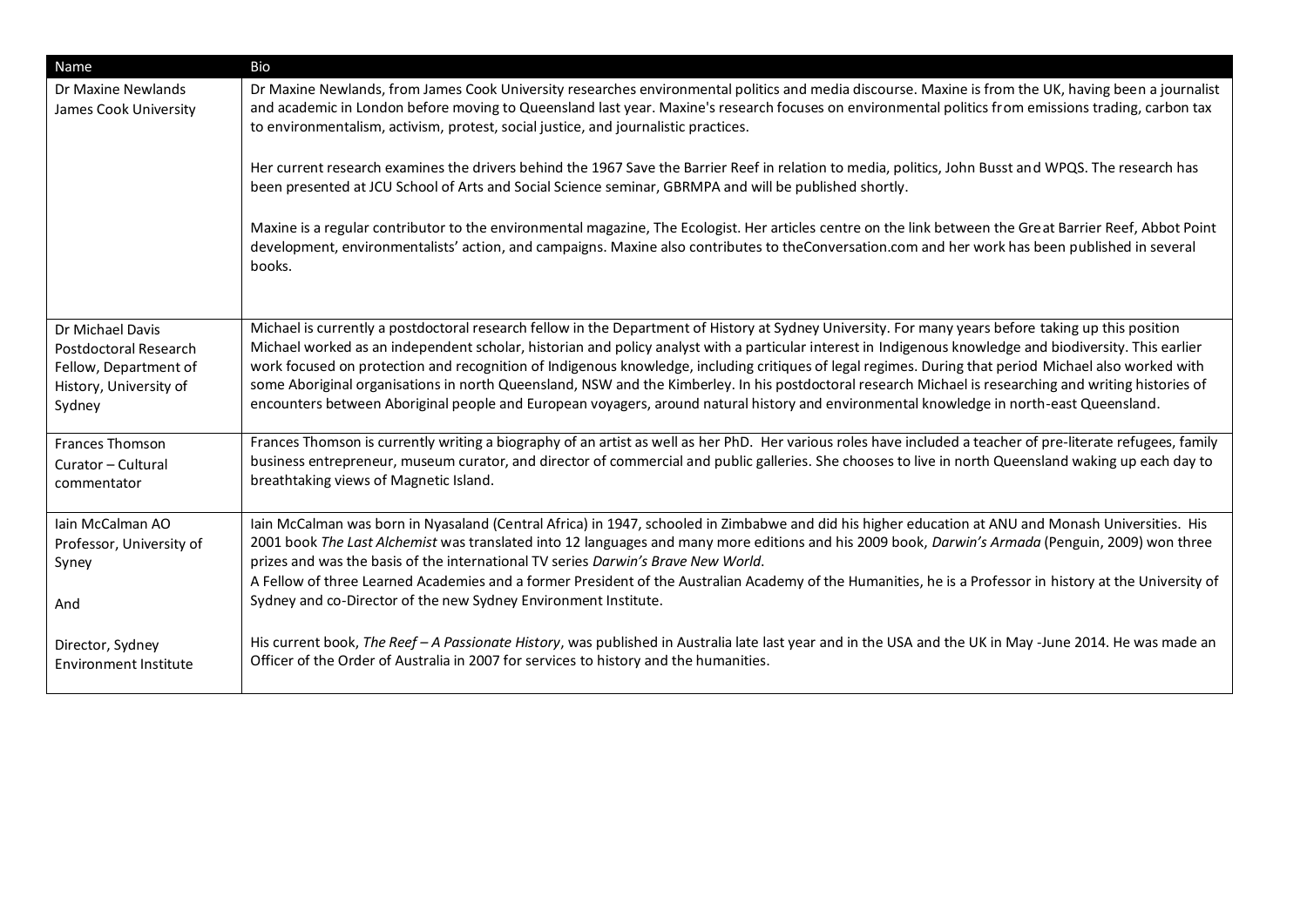| Name                                                                                                          | Bio                                                                                                                                                                                                                                                                                                                                                                                                                                                                                                                                                                                                                                                                                                                                                                             |
|---------------------------------------------------------------------------------------------------------------|---------------------------------------------------------------------------------------------------------------------------------------------------------------------------------------------------------------------------------------------------------------------------------------------------------------------------------------------------------------------------------------------------------------------------------------------------------------------------------------------------------------------------------------------------------------------------------------------------------------------------------------------------------------------------------------------------------------------------------------------------------------------------------|
| Dr Maxine Newlands<br>James Cook University                                                                   | Dr Maxine Newlands, from James Cook University researches environmental politics and media discourse. Maxine is from the UK, having been a journalist<br>and academic in London before moving to Queensland last year. Maxine's research focuses on environmental politics from emissions trading, carbon tax<br>to environmentalism, activism, protest, social justice, and journalistic practices.                                                                                                                                                                                                                                                                                                                                                                            |
|                                                                                                               | Her current research examines the drivers behind the 1967 Save the Barrier Reef in relation to media, politics, John Busst and WPQS. The research has<br>been presented at JCU School of Arts and Social Science seminar, GBRMPA and will be published shortly.                                                                                                                                                                                                                                                                                                                                                                                                                                                                                                                 |
|                                                                                                               | Maxine is a regular contributor to the environmental magazine, The Ecologist. Her articles centre on the link between the Great Barrier Reef, Abbot Point<br>development, environmentalists' action, and campaigns. Maxine also contributes to theConversation.com and her work has been published in several<br>books.                                                                                                                                                                                                                                                                                                                                                                                                                                                         |
| Dr Michael Davis<br><b>Postdoctoral Research</b><br>Fellow, Department of<br>History, University of<br>Sydney | Michael is currently a postdoctoral research fellow in the Department of History at Sydney University. For many years before taking up this position<br>Michael worked as an independent scholar, historian and policy analyst with a particular interest in Indigenous knowledge and biodiversity. This earlier<br>work focused on protection and recognition of Indigenous knowledge, including critiques of legal regimes. During that period Michael also worked with<br>some Aboriginal organisations in north Queensland, NSW and the Kimberley. In his postdoctoral research Michael is researching and writing histories of<br>encounters between Aboriginal people and European voyagers, around natural history and environmental knowledge in north-east Queensland. |
| <b>Frances Thomson</b><br>Curator - Cultural<br>commentator                                                   | Frances Thomson is currently writing a biography of an artist as well as her PhD. Her various roles have included a teacher of pre-literate refugees, family<br>business entrepreneur, museum curator, and director of commercial and public galleries. She chooses to live in north Queensland waking up each day to<br>breathtaking views of Magnetic Island.                                                                                                                                                                                                                                                                                                                                                                                                                 |
| Iain McCalman AO<br>Professor, University of<br>Syney                                                         | Iain McCalman was born in Nyasaland (Central Africa) in 1947, schooled in Zimbabwe and did his higher education at ANU and Monash Universities. His<br>2001 book The Last Alchemist was translated into 12 languages and many more editions and his 2009 book, Darwin's Armada (Penguin, 2009) won three<br>prizes and was the basis of the international TV series Darwin's Brave New World.                                                                                                                                                                                                                                                                                                                                                                                   |
| And                                                                                                           | A Fellow of three Learned Academies and a former President of the Australian Academy of the Humanities, he is a Professor in history at the University of<br>Sydney and co-Director of the new Sydney Environment Institute.                                                                                                                                                                                                                                                                                                                                                                                                                                                                                                                                                    |
| Director, Sydney<br><b>Environment Institute</b>                                                              | His current book, The Reef - A Passionate History, was published in Australia late last year and in the USA and the UK in May -June 2014. He was made an<br>Officer of the Order of Australia in 2007 for services to history and the humanities.                                                                                                                                                                                                                                                                                                                                                                                                                                                                                                                               |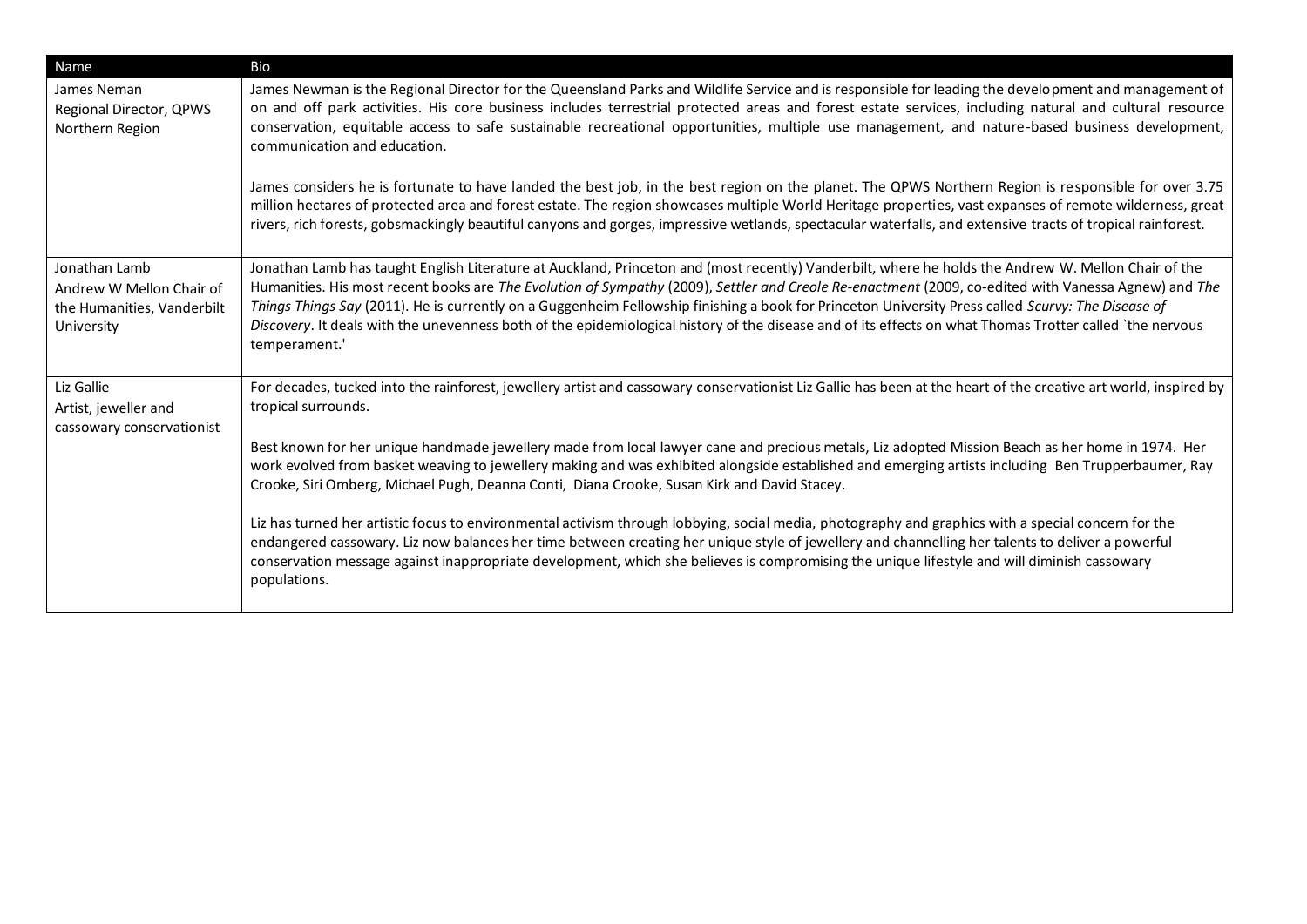| Name                                                                                  | Bio                                                                                                                                                                                                                                                                                                                                                                                                                                                                                                                                                                                                                                                      |
|---------------------------------------------------------------------------------------|----------------------------------------------------------------------------------------------------------------------------------------------------------------------------------------------------------------------------------------------------------------------------------------------------------------------------------------------------------------------------------------------------------------------------------------------------------------------------------------------------------------------------------------------------------------------------------------------------------------------------------------------------------|
| James Neman<br>Regional Director, QPWS<br>Northern Region                             | James Newman is the Regional Director for the Queensland Parks and Wildlife Service and is responsible for leading the development and management of<br>on and off park activities. His core business includes terrestrial protected areas and forest estate services, including natural and cultural resource<br>conservation, equitable access to safe sustainable recreational opportunities, multiple use management, and nature-based business development,<br>communication and education.<br>James considers he is fortunate to have landed the best job, in the best region on the planet. The QPWS Northern Region is responsible for over 3.75 |
|                                                                                       | million hectares of protected area and forest estate. The region showcases multiple World Heritage properties, vast expanses of remote wilderness, great<br>rivers, rich forests, gobsmackingly beautiful canyons and gorges, impressive wetlands, spectacular waterfalls, and extensive tracts of tropical rainforest.                                                                                                                                                                                                                                                                                                                                  |
| Jonathan Lamb<br>Andrew W Mellon Chair of<br>the Humanities, Vanderbilt<br>University | Jonathan Lamb has taught English Literature at Auckland, Princeton and (most recently) Vanderbilt, where he holds the Andrew W. Mellon Chair of the<br>Humanities. His most recent books are The Evolution of Sympathy (2009), Settler and Creole Re-enactment (2009, co-edited with Vanessa Agnew) and The<br>Things Things Say (2011). He is currently on a Guggenheim Fellowship finishing a book for Princeton University Press called Scurvy: The Disease of<br>Discovery. It deals with the unevenness both of the epidemiological history of the disease and of its effects on what Thomas Trotter called 'the nervous<br>temperament.'           |
| Liz Gallie<br>Artist, jeweller and<br>cassowary conservationist                       | For decades, tucked into the rainforest, jewellery artist and cassowary conservationist Liz Gallie has been at the heart of the creative art world, inspired by<br>tropical surrounds.                                                                                                                                                                                                                                                                                                                                                                                                                                                                   |
|                                                                                       | Best known for her unique handmade jewellery made from local lawyer cane and precious metals, Liz adopted Mission Beach as her home in 1974. Her<br>work evolved from basket weaving to jewellery making and was exhibited alongside established and emerging artists including Ben Trupperbaumer, Ray<br>Crooke, Siri Omberg, Michael Pugh, Deanna Conti, Diana Crooke, Susan Kirk and David Stacey.                                                                                                                                                                                                                                                    |
|                                                                                       | Liz has turned her artistic focus to environmental activism through lobbying, social media, photography and graphics with a special concern for the<br>endangered cassowary. Liz now balances her time between creating her unique style of jewellery and channelling her talents to deliver a powerful<br>conservation message against inappropriate development, which she believes is compromising the unique lifestyle and will diminish cassowary<br>populations.                                                                                                                                                                                   |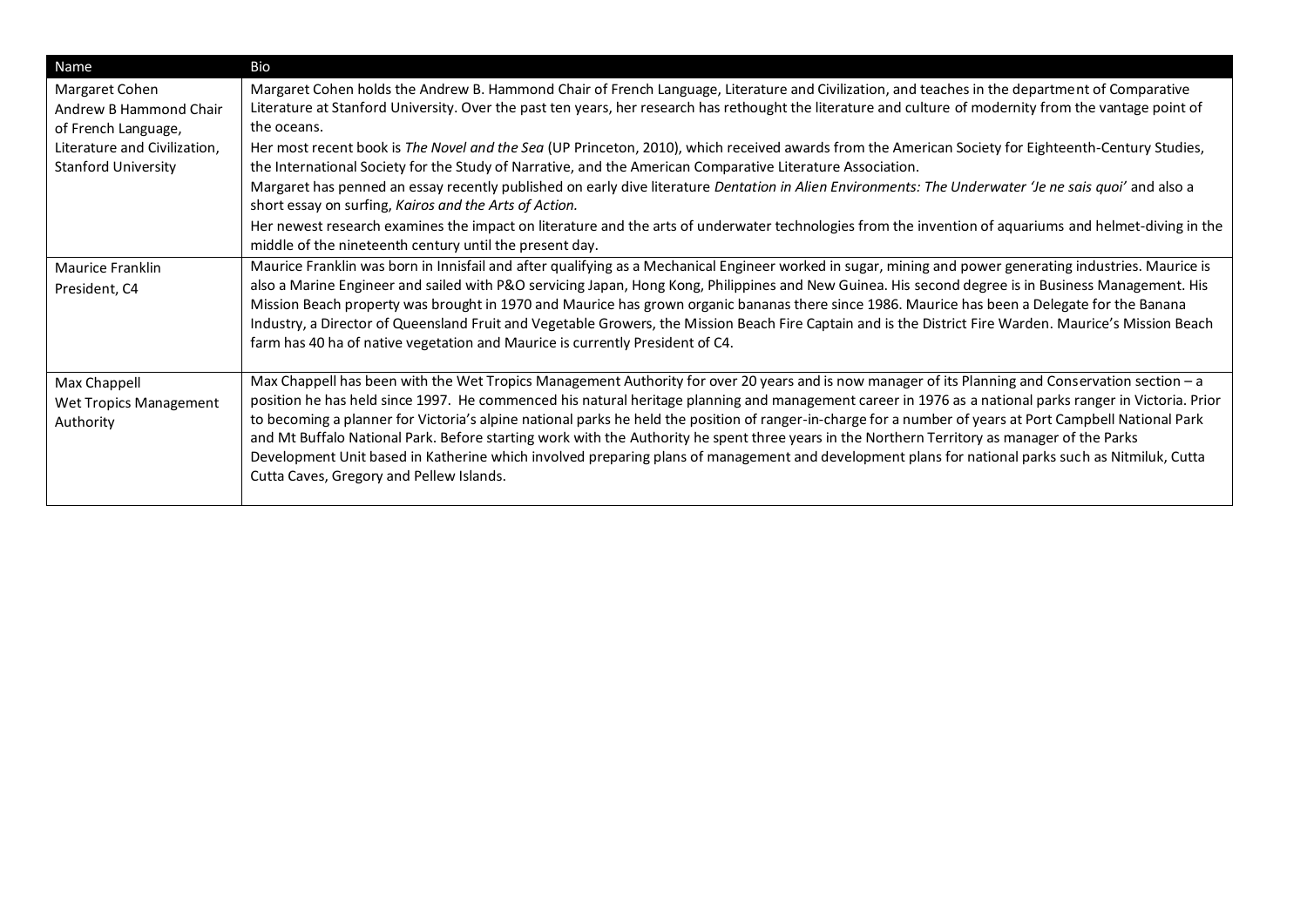| Name                                                            | Bio                                                                                                                                                                                                                                                                                                                                                                                                                                                                                                                                                                                                                                                                                                                                                                                                                       |
|-----------------------------------------------------------------|---------------------------------------------------------------------------------------------------------------------------------------------------------------------------------------------------------------------------------------------------------------------------------------------------------------------------------------------------------------------------------------------------------------------------------------------------------------------------------------------------------------------------------------------------------------------------------------------------------------------------------------------------------------------------------------------------------------------------------------------------------------------------------------------------------------------------|
| Margaret Cohen<br>Andrew B Hammond Chair<br>of French Language, | Margaret Cohen holds the Andrew B. Hammond Chair of French Language, Literature and Civilization, and teaches in the department of Comparative<br>Literature at Stanford University. Over the past ten years, her research has rethought the literature and culture of modernity from the vantage point of<br>the oceans.                                                                                                                                                                                                                                                                                                                                                                                                                                                                                                 |
| Literature and Civilization,<br><b>Stanford University</b>      | Her most recent book is The Novel and the Sea (UP Princeton, 2010), which received awards from the American Society for Eighteenth-Century Studies,<br>the International Society for the Study of Narrative, and the American Comparative Literature Association.                                                                                                                                                                                                                                                                                                                                                                                                                                                                                                                                                         |
|                                                                 | Margaret has penned an essay recently published on early dive literature Dentation in Alien Environments: The Underwater 'Je ne sais quoi' and also a<br>short essay on surfing, Kairos and the Arts of Action.                                                                                                                                                                                                                                                                                                                                                                                                                                                                                                                                                                                                           |
|                                                                 | Her newest research examines the impact on literature and the arts of underwater technologies from the invention of aquariums and helmet-diving in the<br>middle of the nineteenth century until the present day.                                                                                                                                                                                                                                                                                                                                                                                                                                                                                                                                                                                                         |
| Maurice Franklin<br>President, C4                               | Maurice Franklin was born in Innisfail and after qualifying as a Mechanical Engineer worked in sugar, mining and power generating industries. Maurice is<br>also a Marine Engineer and sailed with P&O servicing Japan, Hong Kong, Philippines and New Guinea. His second degree is in Business Management. His<br>Mission Beach property was brought in 1970 and Maurice has grown organic bananas there since 1986. Maurice has been a Delegate for the Banana<br>Industry, a Director of Queensland Fruit and Vegetable Growers, the Mission Beach Fire Captain and is the District Fire Warden. Maurice's Mission Beach<br>farm has 40 ha of native vegetation and Maurice is currently President of C4.                                                                                                              |
| Max Chappell<br>Wet Tropics Management<br>Authority             | Max Chappell has been with the Wet Tropics Management Authority for over 20 years and is now manager of its Planning and Conservation section - a<br>position he has held since 1997. He commenced his natural heritage planning and management career in 1976 as a national parks ranger in Victoria. Prior<br>to becoming a planner for Victoria's alpine national parks he held the position of ranger-in-charge for a number of years at Port Campbell National Park<br>and Mt Buffalo National Park. Before starting work with the Authority he spent three years in the Northern Territory as manager of the Parks<br>Development Unit based in Katherine which involved preparing plans of management and development plans for national parks such as Nitmiluk, Cutta<br>Cutta Caves, Gregory and Pellew Islands. |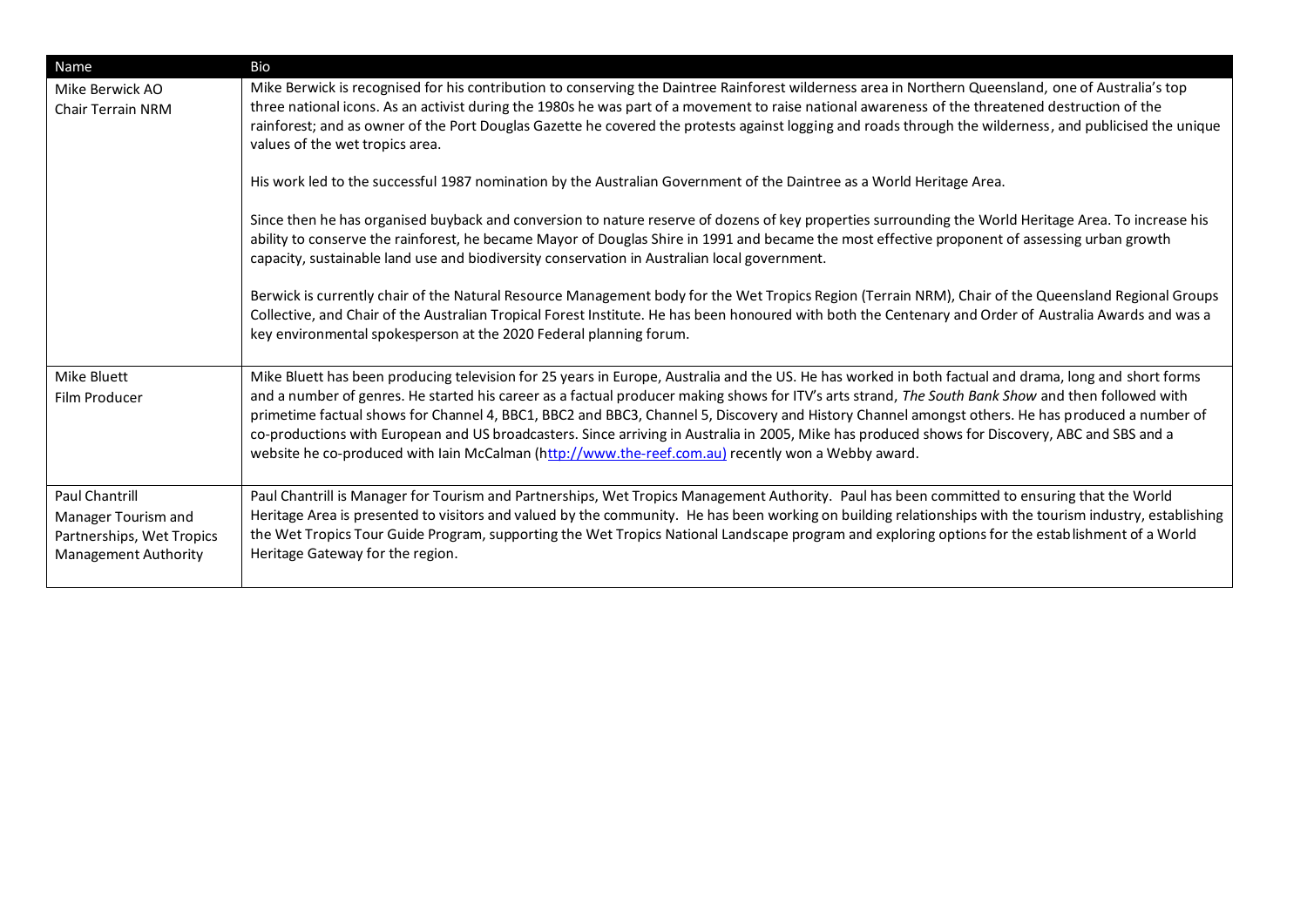| Name                                                                                              | Bio                                                                                                                                                                                                                                                                                                                                                                                                                                                                                                                                                                                                                                                                                                                      |
|---------------------------------------------------------------------------------------------------|--------------------------------------------------------------------------------------------------------------------------------------------------------------------------------------------------------------------------------------------------------------------------------------------------------------------------------------------------------------------------------------------------------------------------------------------------------------------------------------------------------------------------------------------------------------------------------------------------------------------------------------------------------------------------------------------------------------------------|
| Mike Berwick AO<br><b>Chair Terrain NRM</b>                                                       | Mike Berwick is recognised for his contribution to conserving the Daintree Rainforest wilderness area in Northern Queensland, one of Australia's top<br>three national icons. As an activist during the 1980s he was part of a movement to raise national awareness of the threatened destruction of the<br>rainforest; and as owner of the Port Douglas Gazette he covered the protests against logging and roads through the wilderness, and publicised the unique<br>values of the wet tropics area.                                                                                                                                                                                                                  |
|                                                                                                   | His work led to the successful 1987 nomination by the Australian Government of the Daintree as a World Heritage Area.                                                                                                                                                                                                                                                                                                                                                                                                                                                                                                                                                                                                    |
|                                                                                                   | Since then he has organised buyback and conversion to nature reserve of dozens of key properties surrounding the World Heritage Area. To increase his<br>ability to conserve the rainforest, he became Mayor of Douglas Shire in 1991 and became the most effective proponent of assessing urban growth<br>capacity, sustainable land use and biodiversity conservation in Australian local government.                                                                                                                                                                                                                                                                                                                  |
|                                                                                                   | Berwick is currently chair of the Natural Resource Management body for the Wet Tropics Region (Terrain NRM), Chair of the Queensland Regional Groups<br>Collective, and Chair of the Australian Tropical Forest Institute. He has been honoured with both the Centenary and Order of Australia Awards and was a<br>key environmental spokesperson at the 2020 Federal planning forum.                                                                                                                                                                                                                                                                                                                                    |
| Mike Bluett<br>Film Producer                                                                      | Mike Bluett has been producing television for 25 years in Europe, Australia and the US. He has worked in both factual and drama, long and short forms<br>and a number of genres. He started his career as a factual producer making shows for ITV's arts strand, The South Bank Show and then followed with<br>primetime factual shows for Channel 4, BBC1, BBC2 and BBC3, Channel 5, Discovery and History Channel amongst others. He has produced a number of<br>co-productions with European and US broadcasters. Since arriving in Australia in 2005, Mike has produced shows for Discovery, ABC and SBS and a<br>website he co-produced with lain McCalman (http://www.the-reef.com.au) recently won a Webby award. |
| Paul Chantrill<br>Manager Tourism and<br>Partnerships, Wet Tropics<br><b>Management Authority</b> | Paul Chantrill is Manager for Tourism and Partnerships, Wet Tropics Management Authority. Paul has been committed to ensuring that the World<br>Heritage Area is presented to visitors and valued by the community. He has been working on building relationships with the tourism industry, establishing<br>the Wet Tropics Tour Guide Program, supporting the Wet Tropics National Landscape program and exploring options for the establishment of a World<br>Heritage Gateway for the region.                                                                                                                                                                                                                        |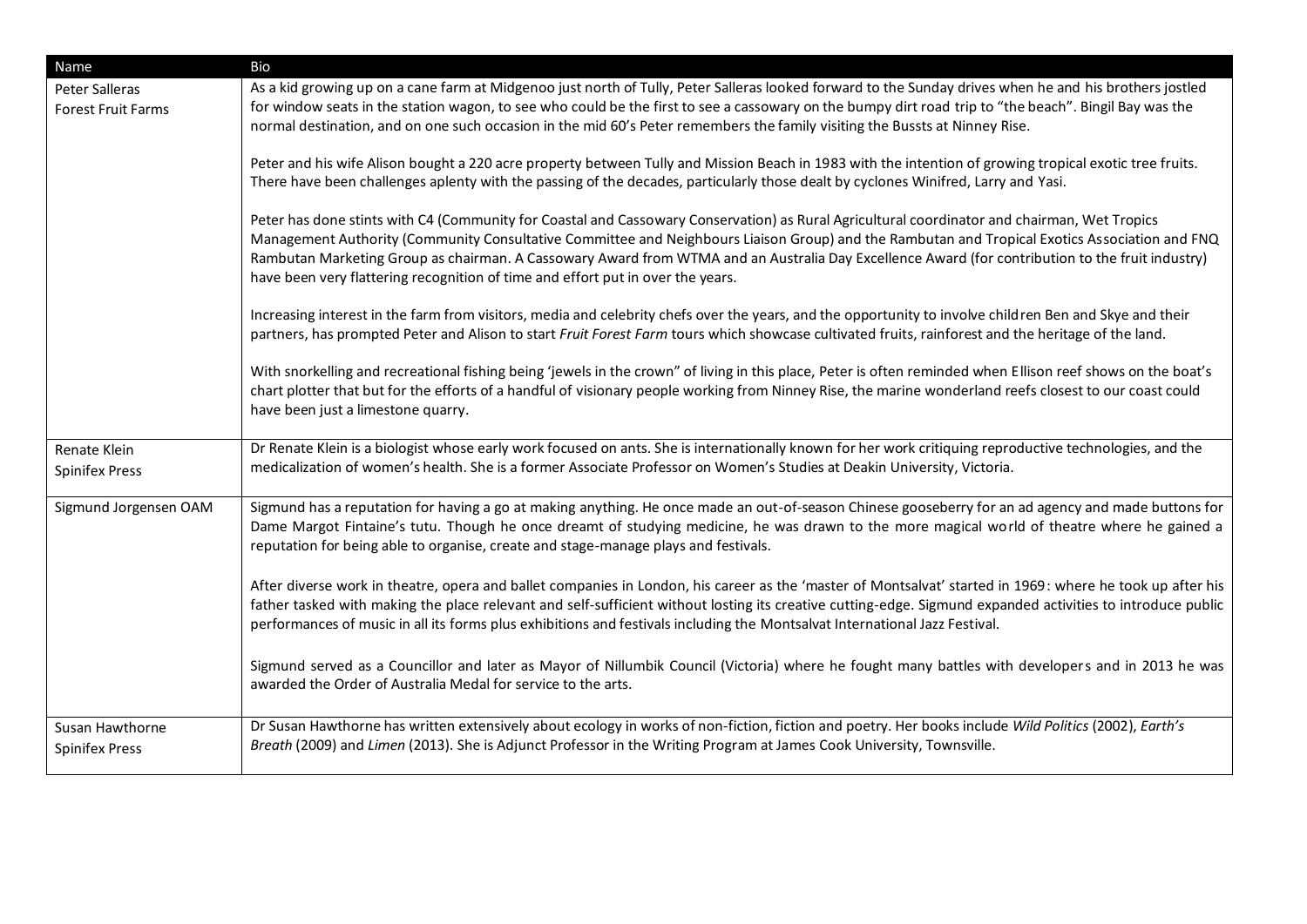| Name                                        | Bio                                                                                                                                                                                                                                                                                                                                                                                                                                                                                                                                   |
|---------------------------------------------|---------------------------------------------------------------------------------------------------------------------------------------------------------------------------------------------------------------------------------------------------------------------------------------------------------------------------------------------------------------------------------------------------------------------------------------------------------------------------------------------------------------------------------------|
| Peter Salleras<br><b>Forest Fruit Farms</b> | As a kid growing up on a cane farm at Midgenoo just north of Tully, Peter Salleras looked forward to the Sunday drives when he and his brothers jostled<br>for window seats in the station wagon, to see who could be the first to see a cassowary on the bumpy dirt road trip to "the beach". Bingil Bay was the<br>normal destination, and on one such occasion in the mid 60's Peter remembers the family visiting the Bussts at Ninney Rise.                                                                                      |
|                                             | Peter and his wife Alison bought a 220 acre property between Tully and Mission Beach in 1983 with the intention of growing tropical exotic tree fruits.<br>There have been challenges aplenty with the passing of the decades, particularly those dealt by cyclones Winifred, Larry and Yasi.                                                                                                                                                                                                                                         |
|                                             | Peter has done stints with C4 (Community for Coastal and Cassowary Conservation) as Rural Agricultural coordinator and chairman, Wet Tropics<br>Management Authority (Community Consultative Committee and Neighbours Liaison Group) and the Rambutan and Tropical Exotics Association and FNQ<br>Rambutan Marketing Group as chairman. A Cassowary Award from WTMA and an Australia Day Excellence Award (for contribution to the fruit industry)<br>have been very flattering recognition of time and effort put in over the years. |
|                                             | Increasing interest in the farm from visitors, media and celebrity chefs over the years, and the opportunity to involve children Ben and Skye and their<br>partners, has prompted Peter and Alison to start Fruit Forest Farm tours which showcase cultivated fruits, rainforest and the heritage of the land.                                                                                                                                                                                                                        |
|                                             | With snorkelling and recreational fishing being 'jewels in the crown" of living in this place, Peter is often reminded when Ellison reef shows on the boat's<br>chart plotter that but for the efforts of a handful of visionary people working from Ninney Rise, the marine wonderland reefs closest to our coast could<br>have been just a limestone quarry.                                                                                                                                                                        |
| Renate Klein<br><b>Spinifex Press</b>       | Dr Renate Klein is a biologist whose early work focused on ants. She is internationally known for her work critiquing reproductive technologies, and the<br>medicalization of women's health. She is a former Associate Professor on Women's Studies at Deakin University, Victoria.                                                                                                                                                                                                                                                  |
| Sigmund Jorgensen OAM                       | Sigmund has a reputation for having a go at making anything. He once made an out-of-season Chinese gooseberry for an ad agency and made buttons for<br>Dame Margot Fintaine's tutu. Though he once dreamt of studying medicine, he was drawn to the more magical world of theatre where he gained a<br>reputation for being able to organise, create and stage-manage plays and festivals.                                                                                                                                            |
|                                             | After diverse work in theatre, opera and ballet companies in London, his career as the 'master of Montsalvat' started in 1969: where he took up after his<br>father tasked with making the place relevant and self-sufficient without losting its creative cutting-edge. Sigmund expanded activities to introduce public<br>performances of music in all its forms plus exhibitions and festivals including the Montsalvat International Jazz Festival.                                                                               |
|                                             | Sigmund served as a Councillor and later as Mayor of Nillumbik Council (Victoria) where he fought many battles with developers and in 2013 he was<br>awarded the Order of Australia Medal for service to the arts.                                                                                                                                                                                                                                                                                                                    |
| Susan Hawthorne<br><b>Spinifex Press</b>    | Dr Susan Hawthorne has written extensively about ecology in works of non-fiction, fiction and poetry. Her books include Wild Politics (2002), Earth's<br>Breath (2009) and Limen (2013). She is Adjunct Professor in the Writing Program at James Cook University, Townsville.                                                                                                                                                                                                                                                        |